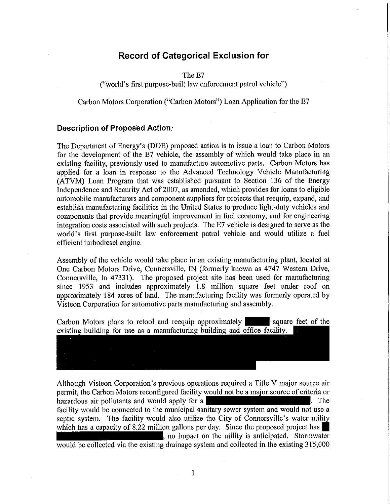# **Record of Categorical Exclusion for**

The E7

("world's first purpose-built law enforcement patrol vehicle")

Carbon Motors Corporation ("Carbon Motors") Loan Application for the E7

### **Description of Proposed Action:**

The Department of Energy's (DOE) proposed action is to issue a loan to Carbon Motors for the development of the E7 vehicle, the assembly of which would take place in an existing facility, previously used to manufacture automotive parts. Carbon Motors has applied for a loan in response to the Advanced Technology Vehicle Manufacturing (ATVM) Loan Program that was established pursuant to Section 136 of the Energy Independence and Security Act of 2007, as amended, which provides for loans to eligible automobile manufacturers and component suppliers for projects that reequip, expand, and establish manufacturing facilities in the United States to produce light-duty vehicles and components that provide meaningful improvement in fuel economy, and for engineering integration costs associated with such projects. The E7 vehicle is designed to serve as the world's first purpose-built law enforcement patrol vehicle and would utilize a fuel efficient turbodiesel engine.

Assembly of the vehicle would take place in an existing manufacturing plant, located at One Carbon Motors Drive, Connersville, IN (fonnerly known as 4747 Western Drive, Connersville, In 47331). The proposed project site has been used for manufacturing since 1953 and includes approximately 1.8 million square feet under roof on approximately 184 acres of land. The manufacturing facility was formerly operated by Visteon Corporation for automotive parts manufacturing and assembly.

Carbon Motors plans to retool and reequip approximately square feet of the existing building for use as a manufacturing building and office facility.

| ------------- |
|---------------|
|               |
|               |
|               |
|               |

Although Visteon Corporation's previous operations required a Title V major source air permit, the Carbon Motors reconfigured facility would not be a major source of criteria or hazardous air pollutants and would apply for a facility would be connected to the municipal sanitary sewer system and would not use a septic system. The facility would also utilize the City of Connersville's water utility which has a capacity of 8.22 million gallons per day. Since the proposed project has. no impact on the utility is anticipated. Stormwater would be collected via the existing drainage system and collected in the existing 315,000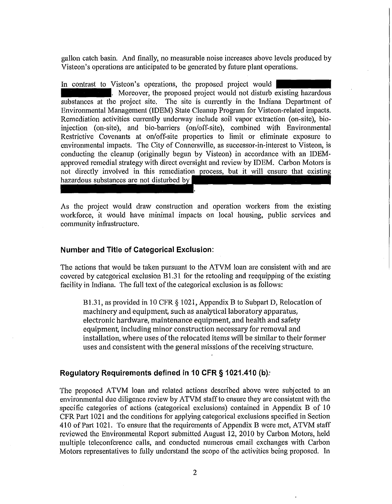gallon catch basin. And finally, no measurable noise increases above levels produced by Visteon's operations are anticipated to be generated by future plant operations.

In contrast to Visteon's operations, the proposed project would . Moreover, the proposed project would not disturb existing hazardous substances at the project site. The site is currently in the Indiana Department of Environmental Management (IDEM) State Cleanup Program for Visteon-related impacts. Remediation activities currently underway include soil vapor extraction (on-site), bioinjection (on-site), and bio-barriers (on/off-site), combined with Environmental Restrictive Covenants at on/off-site properties to limit or eliminate exposure to environmental impacts. The City of Connersville, as successor-in-interest to Visteon, is conducting the cleanup (originally begun by Visteon) in accordance with an IDEMapproved remedial strategy with direct oversight and review by IDEM. Carbon Motors is not directly involved in this remediation process, but it will ensure that existing hazardous substances are not disturbed by

As the project would draw construction and operation workers from the existing workforce, it would have minimal impacts on local housing, public services and community infrastructure.

#### **Number and Title of Categorical Exclusion:**

The actions that would be taken pursuant to the ATVM loan are consistent with and are covered by categorical exclusion  $B1.31$  for the retooling and reequipping of the existing facility in Indiana. The full text of the categorical exclusion is as follows:

B1.31, as provided in 10 CFR  $\S$  1021, Appendix B to Subpart D, Relocation of machinery and equipment, such as analytical laboratory apparatus, electronic hardware, maintenance equipment, and health and safety equipment, including minor construction necessary for removal and installation, where uses of the relocated items will be similar to their former uses and consistent with the general missions of the receiving structure.

### **Regulatory Requirements defined in 10 CFR § 1021.410 (b):**

The proposed ATVM loan and related actions described above were subjected to an environmental due diligence review by ATVM staff to ensure they are consistent with the specific categories of actions (categorical exclusions) contained in Appendix B of 10 CFR Part 1021 and the conditions for applying categorical exclusions specified in Section 410 of Part 1021. To ensure that the requirements of Appendix B were met, ATVM staff reviewed the Environmental Report submitted August 12, 2010 by Carbon Motors, held multiple teleconference calls, and conducted numerous email exchanges with Carbon Motors representatives to fully understand the scope of the activities being proposed. In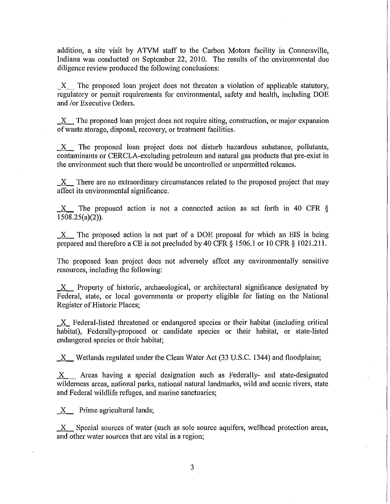addition, a site visit by ATVM staff to the Carbon Motors facility in Connersville, Indiana was conducted on September 22, 2010. The results of the environmental due diligence review produced the following conclusions:

X The proposed loan project does not threaten a violation of applicable statutory, regulatory or permit requirements for environmental, safety and health, including DOE and *lor* Executive Orders.

 $X$  The proposed loan project does not require siting, construction, or major expansion of waste storage, disposal, recovery, or treatment facilities.

 $X$  The proposed loan project does not disturb hazardous substance, pollutants, contaminants or CERCLA-excluding petroleum and natural gas products that pre-exist in the environment such that there would be uncontrolled or unpermitted releases.

 $X$  There are no extraordinary circumstances related to the proposed project that may affect its environmental significance.

 $X$  The proposed action is not a connected action as set forth in 40 CFR  $\S$ 1508.25(a)(2)).

 $X$  The proposed action is not part of a DOE proposal for which an EIS is being prepared and therefore a CE is not precluded by 40 CFR § 1506.1 or 10 CFR § 1021.211.

The proposed loan project does not adversely affect any environmentally sensitive resources, including the following:

 $X$  Property of historic, archaeological, or architectural significance designated by Federal, state, or local governments or property eligible for listing on the National Register of Historic Places;

X Federal-listed threatened or endangered species or their habitat (including critical habitat), Federally-proposed or candidate species or their habitat, or state-listed endangered species or their habitat;

 $\underline{X}$  Wetlands regulated under the Clean Water Act (33 U.S.C. 1344) and floodplains;

 $X$  Areas having a special designation such as Federally- and state-designated wilderness areas, national parks, national natural landmarks, wild and scenic rivers, state and Federal wildlife refuges, and marine sanctuaries;

 $X$  Prime agricultural lands;

 $X$  Special sources of water (such as sole source aquifers, wellhead protection areas, and other water sources that are vital in a region;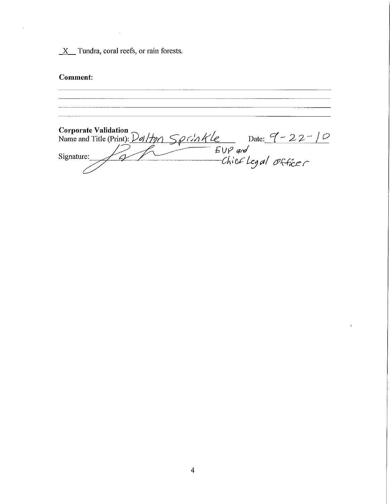$\underline{X}$  Tundra, coral reefs, or rain forests.

## Comment:

Corporate Validation<br>Name and Title (Print):  $D$ *ol Hyn* Sprinkle Date: <u>9</u> - 22 - 10<br>Signature: Signature: Chief Legal Office